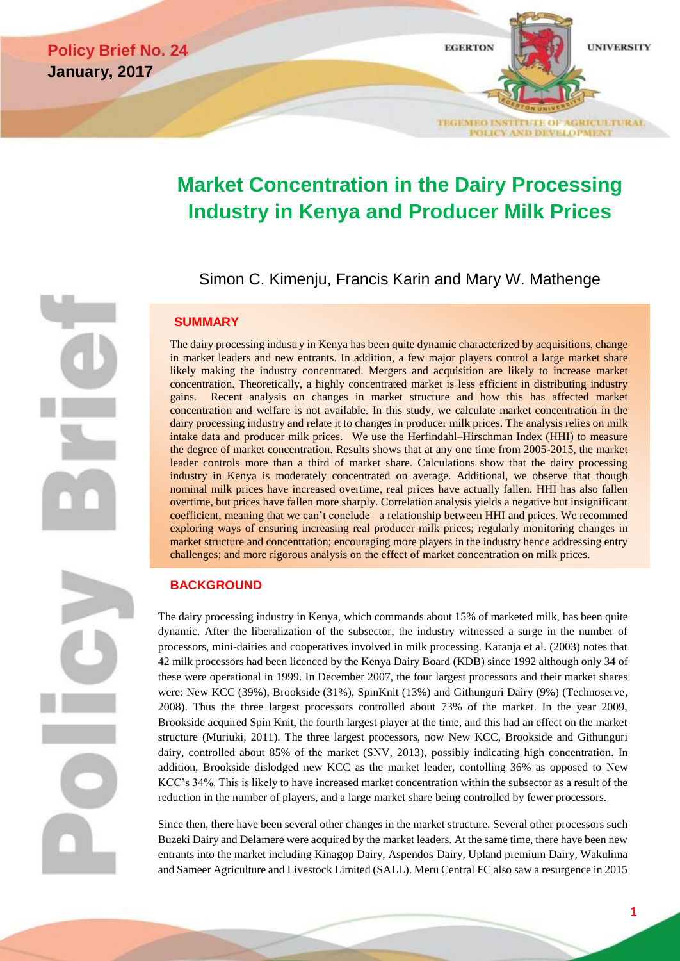

# **Market Concentration in the Dairy Processing Industry in Kenya and Producer Milk Prices**

Simon C. Kimenju, Francis Karin and Mary W. Mathenge

## **SUMMARY**

The dairy processing industry in Kenya has been quite dynamic characterized by acquisitions, change in market leaders and new entrants. In addition, a few major players control a large market share likely making the industry concentrated. Mergers and acquisition are likely to increase market concentration. Theoretically, a highly concentrated market is less efficient in distributing industry gains. Recent analysis on changes in market structure and how this has affected market concentration and welfare is not available. In this study, we calculate market concentration in the dairy processing industry and relate it to changes in producer milk prices. The analysis relies on milk intake data and producer milk prices. We use the Herfindahl–Hirschman Index (HHI) to measure the degree of market concentration. Results shows that at any one time from 2005-2015, the market leader controls more than a third of market share. Calculations show that the dairy processing industry in Kenya is moderately concentrated on average. Additional, we observe that though nominal milk prices have increased overtime, real prices have actually fallen. HHI has also fallen overtime, but prices have fallen more sharply. Correlation analysis yields a negative but insignificant coefficient, meaning that we can't conclude a relationship between HHI and prices. We recommed exploring ways of ensuring increasing real producer milk prices; regularly monitoring changes in market structure and concentration; encouraging more players in the industry hence addressing entry challenges; and more rigorous analysis on the effect of market concentration on milk prices.

## **BACKGROUND**

The dairy processing industry in Kenya, which commands about 15% of marketed milk, has been quite dynamic. After the liberalization of the subsector, the industry witnessed a surge in the number of processors, mini-dairies and cooperatives involved in milk processing. Karanja et al. (2003) notes that 42 milk processors had been licenced by the Kenya Dairy Board (KDB) since 1992 although only 34 of these were operational in 1999. In December 2007, the four largest processors and their market shares were: New KCC (39%), Brookside (31%), SpinKnit (13%) and Githunguri Dairy (9%) (Technoserve, 2008). Thus the three largest processors controlled about 73% of the market. In the year 2009, Brookside acquired Spin Knit, the fourth largest player at the time, and this had an effect on the market structure (Muriuki, 2011). The three largest processors, now New KCC, Brookside and Githunguri dairy, controlled about 85% of the market (SNV, 2013), possibly indicating high concentration. In addition, Brookside dislodged new KCC as the market leader, contolling 36% as opposed to New KCC's 34%. This is likely to have increased market concentration within the subsector as a result of the reduction in the number of players, and a large market share being controlled by fewer processors.

Since then, there have been several other changes in the market structure. Several other processors such Buzeki Dairy and Delamere were acquired by the market leaders. At the same time, there have been new entrants into the market including Kinagop Dairy, Aspendos Dairy, Upland premium Dairy, Wakulima and Sameer Agriculture and Livestock Limited (SALL). Meru Central FC also saw a resurgence in 2015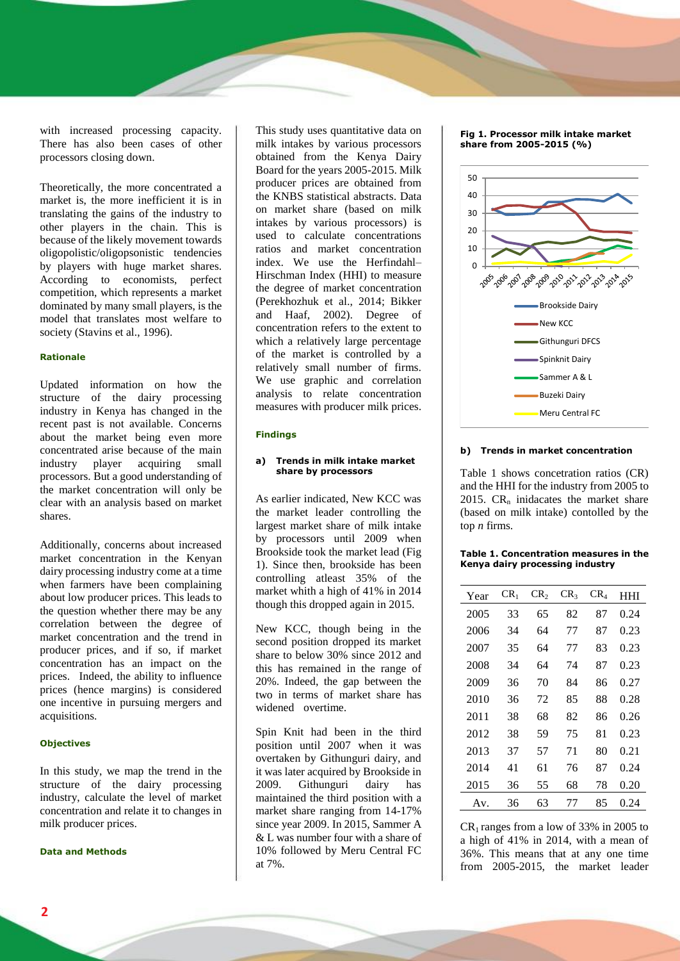with increased processing capacity. There has also been cases of other processors closing down.

Theoretically, the more concentrated a market is, the more inefficient it is in translating the gains of the industry to other players in the chain. This is because of the likely movement towards oligopolistic/oligopsonistic tendencies by players with huge market shares. According to economists, perfect competition, which represents a market dominated by many small players, is the model that translates most welfare to society (Stavins et al., 1996).

#### **Rationale**

Updated information on how the structure of the dairy processing industry in Kenya has changed in the recent past is not available. Concerns about the market being even more concentrated arise because of the main<br>industry player acquiring small industry player acquiring small processors. But a good understanding of the market concentration will only be clear with an analysis based on market shares.

Additionally, concerns about increased market concentration in the Kenyan dairy processing industry come at a time when farmers have been complaining about low producer prices. This leads to the question whether there may be any correlation between the degree of market concentration and the trend in producer prices, and if so, if market concentration has an impact on the prices. Indeed, the ability to influence prices (hence margins) is considered one incentive in pursuing mergers and acquisitions.

#### **Objectives**

In this study, we map the trend in the structure of the dairy processing industry, calculate the level of market concentration and relate it to changes in milk producer prices.

#### **Data and Methods**

This study uses quantitative data on milk intakes by various processors obtained from the Kenya Dairy Board for the years 2005-2015. Milk producer prices are obtained from the KNBS statistical abstracts. Data on market share (based on milk intakes by various processors) is used to calculate concentrations ratios and market concentration index. We use the Herfindahl– Hirschman Index (HHI) to measure the degree of market concentration (Perekhozhuk et al., 2014; Bikker and Haaf, 2002). Degree of concentration refers to the extent to which a relatively large percentage of the market is controlled by a relatively small number of firms. We use graphic and correlation analysis to relate concentration measures with producer milk prices.

#### **Findings**

#### **a) Trends in milk intake market share by processors**

As earlier indicated, New KCC was the market leader controlling the largest market share of milk intake by processors until 2009 when Brookside took the market lead (Fig 1). Since then, brookside has been controlling atleast 35% of the market whith a high of 41% in 2014 though this dropped again in 2015.

New KCC, though being in the second position dropped its market share to below 30% since 2012 and this has remained in the range of 20%. Indeed, the gap between the two in terms of market share has widened overtime.

Spin Knit had been in the third position until 2007 when it was overtaken by Githunguri dairy, and it was later acquired by Brookside in 2009. Githunguri dairy has maintained the third position with a market share ranging from 14-17% since year 2009. In 2015, Sammer A & L was number four with a share of 10% followed by Meru Central FC at 7%.

#### **Fig 1. Processor milk intake market share from 2005-2015 (%)**



### **b) Trends in market concentration**

Table 1 shows concetration ratios (CR) and the HHI for the industry from 2005 to 2015.  $CR_n$  inidacates the market share (based on milk intake) contolled by the top *n* firms.

|  | Table 1. Concentration measures in the |  |
|--|----------------------------------------|--|
|  | Kenya dairy processing industry        |  |

| Year | $CR_1$ | CR <sub>2</sub> | CR <sub>3</sub> | $CR_{4}$ | HHI  |
|------|--------|-----------------|-----------------|----------|------|
| 2005 | 33     | 65              | 82              | 87       | 0.24 |
| 2006 | 34     | 64              | 77              | 87       | 0.23 |
| 2007 | 35     | 64              | 77              | 83       | 0.23 |
| 2008 | 34     | 64              | 74              | 87       | 0.23 |
| 2009 | 36     | 70              | 84              | 86       | 0.27 |
| 2010 | 36     | 72              | 85              | 88       | 0.28 |
| 2011 | 38     | 68              | 82              | 86       | 0.26 |
| 2012 | 38     | 59              | 75              | 81       | 0.23 |
| 2013 | 37     | 57              | 71              | 80       | 0.21 |
| 2014 | 41     | 61              | 76              | 87       | 0.24 |
| 2015 | 36     | 55              | 68              | 78       | 0.20 |
| Av.  | 36     | 63              | 77              | 85       | 0.24 |

 $CR<sub>1</sub>$  ranges from a low of 33% in 2005 to a high of 41% in 2014, with a mean of 36%. This means that at any one time from 2005-2015, the market leader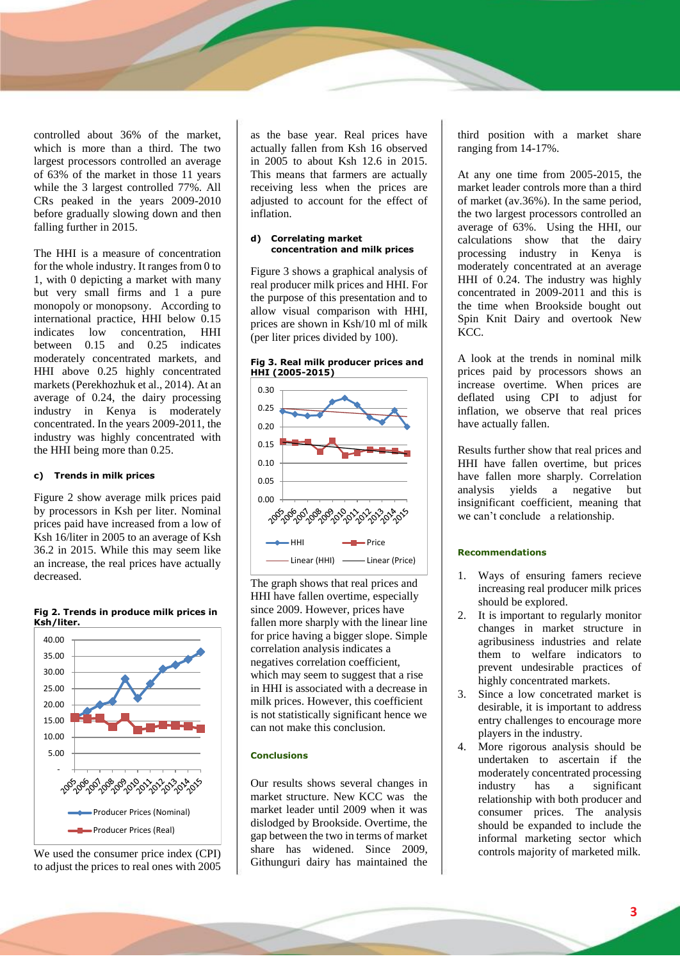controlled about 36% of the market, which is more than a third. The two largest processors controlled an average of 63% of the market in those 11 years while the 3 largest controlled 77%. All CRs peaked in the years 2009-2010 before gradually slowing down and then falling further in 2015.

The HHI is a measure of concentration for the whole industry. It ranges from 0 to 1, with 0 depicting a market with many but very small firms and 1 a pure monopoly or monopsony. According to international practice, HHI below 0.15 indicates low concentration, HHI between 0.15 and 0.25 indicates moderately concentrated markets, and HHI above 0.25 highly concentrated markets (Perekhozhuk et al., 2014). At an average of 0.24, the dairy processing industry in Kenya is moderately concentrated. In the years 2009-2011, the industry was highly concentrated with the HHI being more than 0.25.

## **c) Trends in milk prices**

Figure 2 show average milk prices paid by processors in Ksh per liter. Nominal prices paid have increased from a low of Ksh 16/liter in 2005 to an average of Ksh 36.2 in 2015. While this may seem like an increase, the real prices have actually decreased.



**Fig 2. Trends in produce milk prices in Ksh/liter.** 

We used the consumer price index (CPI) to adjust the prices to real ones with 2005 as the base year. Real prices have actually fallen from Ksh 16 observed in 2005 to about Ksh 12.6 in 2015. This means that farmers are actually receiving less when the prices are adjusted to account for the effect of inflation.

#### **d) Correlating market concentration and milk prices**

Figure 3 shows a graphical analysis of real producer milk prices and HHI. For the purpose of this presentation and to allow visual comparison with HHI, prices are shown in Ksh/10 ml of milk (per liter prices divided by 100).



The graph shows that real prices and HHI have fallen overtime, especially since 2009. However, prices have fallen more sharply with the linear line for price having a bigger slope. Simple correlation analysis indicates a negatives correlation coefficient, which may seem to suggest that a rise in HHI is associated with a decrease in milk prices. However, this coefficient is not statistically significant hence we can not make this conclusion.

#### **Conclusions**

Our results shows several changes in market structure. New KCC was the market leader until 2009 when it was dislodged by Brookside. Overtime, the gap between the two in terms of market share has widened. Since 2009, Githunguri dairy has maintained the

third position with a market share ranging from 14-17%.

At any one time from 2005-2015, the market leader controls more than a third of market (av.36%). In the same period, the two largest processors controlled an average of 63%. Using the HHI, our calculations show that the dairy processing industry in Kenya is moderately concentrated at an average HHI of 0.24. The industry was highly concentrated in 2009-2011 and this is the time when Brookside bought out Spin Knit Dairy and overtook New KCC.

A look at the trends in nominal milk prices paid by processors shows an increase overtime. When prices are deflated using CPI to adjust for inflation, we observe that real prices have actually fallen.

Results further show that real prices and HHI have fallen overtime, but prices have fallen more sharply. Correlation analysis yields a negative but insignificant coefficient, meaning that we can't conclude a relationship.

## **Recommendations**

- 1. Ways of ensuring famers recieve increasing real producer milk prices should be explored.
- 2. It is important to regularly monitor changes in market structure in agribusiness industries and relate them to welfare indicators to prevent undesirable practices of highly concentrated markets.
- 3. Since a low concetrated market is desirable, it is important to address entry challenges to encourage more players in the industry.
- 4. More rigorous analysis should be undertaken to ascertain if the moderately concentrated processing industry has a significant relationship with both producer and consumer prices. The analysis should be expanded to include the informal marketing sector which controls majority of marketed milk.